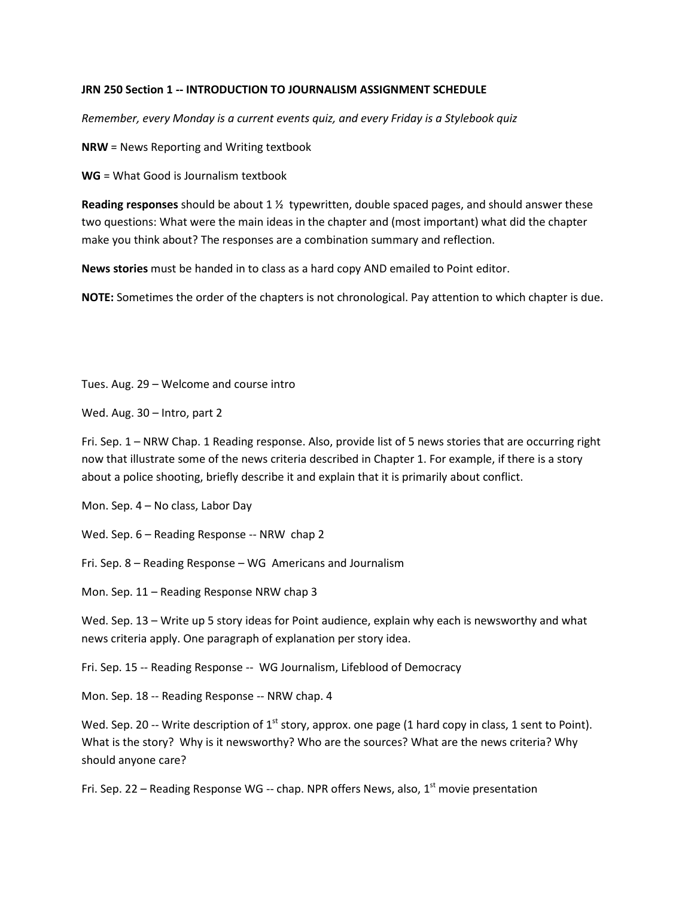## **JRN 250 Section 1 -- INTRODUCTION TO JOURNALISM ASSIGNMENT SCHEDULE**

*Remember, every Monday is a current events quiz, and every Friday is a Stylebook quiz*

**NRW** = News Reporting and Writing textbook

**WG** = What Good is Journalism textbook

**Reading responses** should be about 1 ½ typewritten, double spaced pages, and should answer these two questions: What were the main ideas in the chapter and (most important) what did the chapter make you think about? The responses are a combination summary and reflection.

**News stories** must be handed in to class as a hard copy AND emailed to Point editor.

**NOTE:** Sometimes the order of the chapters is not chronological. Pay attention to which chapter is due.

Tues. Aug. 29 – Welcome and course intro

Wed. Aug. 30 – Intro, part 2

Fri. Sep. 1 – NRW Chap. 1 Reading response. Also, provide list of 5 news stories that are occurring right now that illustrate some of the news criteria described in Chapter 1. For example, if there is a story about a police shooting, briefly describe it and explain that it is primarily about conflict.

Mon. Sep. 4 – No class, Labor Day

Wed. Sep. 6 – Reading Response -- NRW chap 2

Fri. Sep. 8 – Reading Response – WG Americans and Journalism

Mon. Sep. 11 – Reading Response NRW chap 3

Wed. Sep. 13 – Write up 5 story ideas for Point audience, explain why each is newsworthy and what news criteria apply. One paragraph of explanation per story idea.

Fri. Sep. 15 -- Reading Response -- WG Journalism, Lifeblood of Democracy

Mon. Sep. 18 -- Reading Response -- NRW chap. 4

Wed. Sep. 20 -- Write description of 1<sup>st</sup> story, approx. one page (1 hard copy in class, 1 sent to Point). What is the story? Why is it newsworthy? Who are the sources? What are the news criteria? Why should anyone care?

Fri. Sep. 22 – Reading Response WG -- chap. NPR offers News, also,  $1<sup>st</sup>$  movie presentation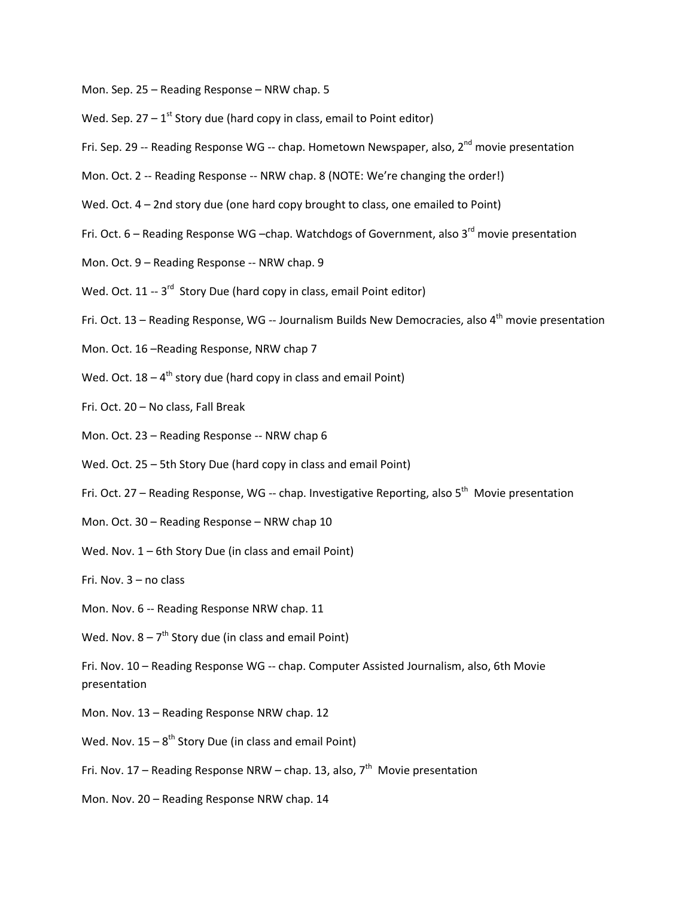- Mon. Sep. 25 Reading Response NRW chap. 5
- Wed. Sep.  $27 1$ <sup>st</sup> Story due (hard copy in class, email to Point editor)
- Fri. Sep. 29 -- Reading Response WG -- chap. Hometown Newspaper, also,  $2^{nd}$  movie presentation
- Mon. Oct. 2 -- Reading Response -- NRW chap. 8 (NOTE: We're changing the order!)
- Wed. Oct. 4 2nd story due (one hard copy brought to class, one emailed to Point)
- Fri. Oct.  $6$  Reading Response WG –chap. Watchdogs of Government, also 3<sup>rd</sup> movie presentation
- Mon. Oct. 9 Reading Response -- NRW chap. 9
- Wed. Oct. 11 -- 3<sup>rd</sup> Story Due (hard copy in class, email Point editor)
- Fri. Oct. 13 Reading Response, WG -- Journalism Builds New Democracies, also  $4<sup>th</sup>$  movie presentation
- Mon. Oct. 16 –Reading Response, NRW chap 7
- Wed. Oct.  $18 4$ <sup>th</sup> story due (hard copy in class and email Point)
- Fri. Oct. 20 No class, Fall Break
- Mon. Oct. 23 Reading Response -- NRW chap 6
- Wed. Oct. 25 5th Story Due (hard copy in class and email Point)
- Fri. Oct. 27 Reading Response, WG -- chap. Investigative Reporting, also 5<sup>th</sup> Movie presentation
- Mon. Oct. 30 Reading Response NRW chap 10
- Wed. Nov. 1 6th Story Due (in class and email Point)
- Fri. Nov. 3 no class
- Mon. Nov. 6 -- Reading Response NRW chap. 11
- Wed. Nov.  $8 7<sup>th</sup>$  Story due (in class and email Point)
- Fri. Nov. 10 Reading Response WG -- chap. Computer Assisted Journalism, also, 6th Movie presentation
- Mon. Nov. 13 Reading Response NRW chap. 12
- Wed. Nov.  $15 8^{th}$  Story Due (in class and email Point)
- Fri. Nov. 17 Reading Response NRW chap. 13, also,  $7<sup>th</sup>$  Movie presentation
- Mon. Nov. 20 Reading Response NRW chap. 14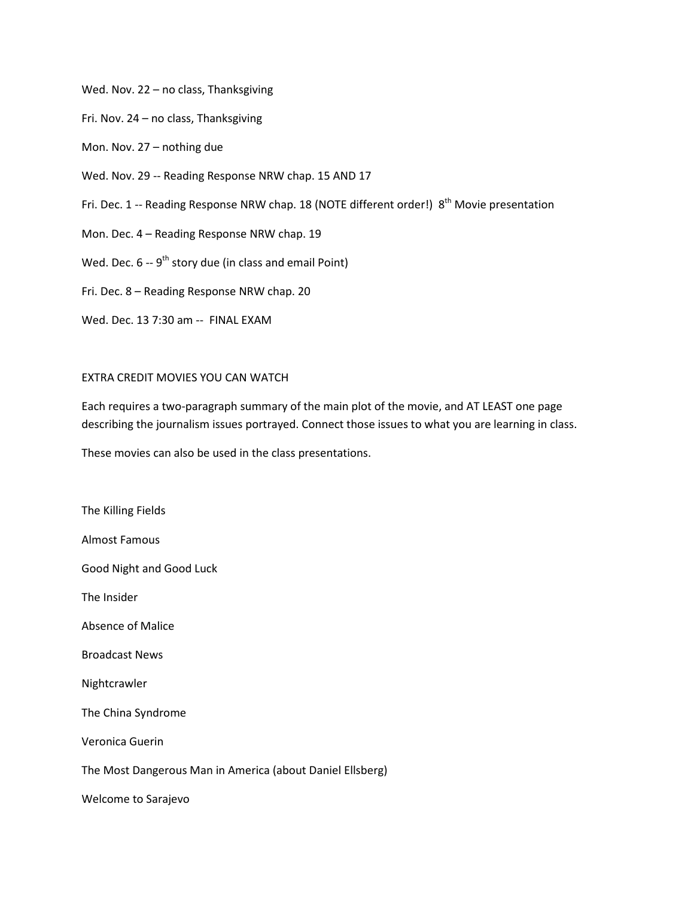Wed. Nov. 22 – no class, Thanksgiving

Fri. Nov. 24 – no class, Thanksgiving

Mon. Nov. 27 – nothing due

Wed. Nov. 29 -- Reading Response NRW chap. 15 AND 17

Fri. Dec. 1 -- Reading Response NRW chap. 18 (NOTE different order!) 8<sup>th</sup> Movie presentation

Mon. Dec. 4 – Reading Response NRW chap. 19

Wed. Dec.  $6 - 9$ <sup>th</sup> story due (in class and email Point)

Fri. Dec. 8 – Reading Response NRW chap. 20

Wed. Dec. 13 7:30 am -- FINAL EXAM

## EXTRA CREDIT MOVIES YOU CAN WATCH

Each requires a two-paragraph summary of the main plot of the movie, and AT LEAST one page describing the journalism issues portrayed. Connect those issues to what you are learning in class.

These movies can also be used in the class presentations.

The Killing Fields Almost Famous Good Night and Good Luck The Insider Absence of Malice Broadcast News Nightcrawler The China Syndrome Veronica Guerin The Most Dangerous Man in America (about Daniel Ellsberg) Welcome to Sarajevo